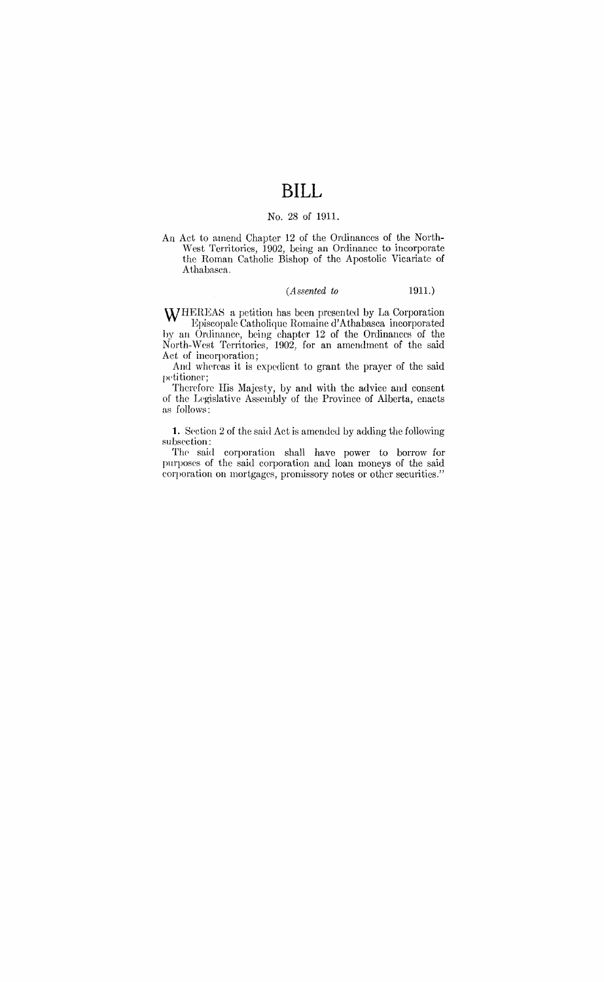# **BILL**

### No. 28 of 1911.

An Act to amend Chapter 12 of the Ordinances of the North- West Territories, 1902, being an Ordinance to incorporate the Roman Catholic Bishop of the Apostolic Vicariate of Athabasea.

### *(Assented to* 1911.)

WHEREAS a petition has been presented by La Corporation Episcopale Catholique Romaine d'Athabasca incorporated by an Ordinance, being chapter 12 of the Ordinances of the North-West Territories, 1902, for an amendment of the said Act of incorporation;

And whereas it is expedient to grant the prayer of the said petitioner;

Therefore His Majesty, by and with the advice and consent of the Legislative Assembly of the Province of Alberta, enacts as follows:

1. Section 2 of the said Act is amended by adding the following subsection:

The said corporation shall have power to borrow for purposes of the said corporation and loan moneys of the said corporation on mortgages, promissory notes or other securities."